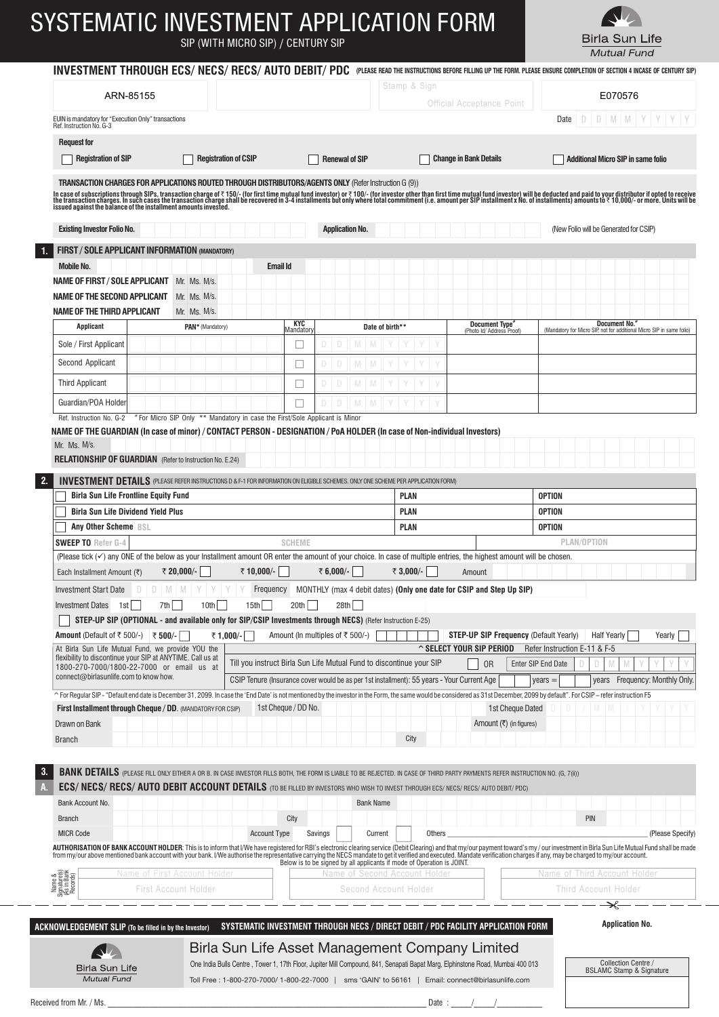## *SYSTEMATIC INVESTMENT APPLICATION FORM*



 *SIP (WITH MICRO SIP) / CENTURY SIP*

| EUIN is mandatory for "Execution Only" transactions<br>Date<br>Ref. Instruction No. G-3<br><b>Request for</b><br><b>Registration of SIP</b><br><b>Registration of CSIP</b><br><b>Change in Bank Details</b><br><b>Renewal of SIP</b><br><b>Additional Micro SIP in same folio</b><br>TRANSACTION CHARGES FOR APPLICATIONS ROUTED THROUGH DISTRIBUTORS/AGENTS ONLY (Refer Instruction G (9))<br>In case of subscriptions through SIPs, transaction charge of ₹ 150/- (for first time mutual fund investor) or ₹ 100/- (for investor other than first time mutual fund investor) will be deducted and paid to your distributor<br><b>Existing Investor Folio No.</b><br><b>Application No.</b><br>(New Folio will be Generated for CSIP)<br><b>FIRST / SOLE APPLICANT INFORMATION (MANDATORY)</b><br><b>Email Id</b><br><b>Mobile No.</b><br>NAME OF FIRST / SOLE APPLICANT<br>Mr. Ms. M/s.<br><b>NAME OF THE SECOND APPLICANT</b><br>Mr. Ms. M/s.<br><b>NAME OF THE THIRD APPLICANT</b><br>Mr. Ms. M/s.<br>KYC<br>Document No.'<br><b>Document Type'</b><br><b>Applicant</b><br>PAN <sup>*</sup> (Mandatory)<br>Date of birth**<br>Mandator<br>(Mandatory for Micro SIP, not for additional Micro SIP in same folio)<br>(Photo Id/ Address Proof)<br>Sole / First Applicant<br>D.<br>M<br>Second Applicant<br>D<br>M<br>M<br>D.<br><b>Third Applicant</b><br>D<br>D.<br>M<br>M<br>Guardian/POA Holder<br>D.<br>M<br>M<br>D<br>"For Micro SIP Only ** Mandatory in case the First/Sole Applicant is Minor<br>Ref. Instruction No. G-2<br>NAME OF THE GUARDIAN (In case of minor) / CONTACT PERSON - DESIGNATION / PoA HOLDER (In case of Non-individual Investors)<br>Mr. Ms. M/s.<br><b>RELATIONSHIP OF GUARDIAN</b> (Refer to Instruction No. E.24)<br><b>INVESTMENT DETAILS</b> (PLEASE REFER INSTRUCTIONS D & F-1 FOR INFORMATION ON ELIGIBLE SCHEMES. ONLY ONE SCHEME PER APPLICATION FORM)<br><b>Birla Sun Life Frontline Equity Fund</b><br>PLAN<br><b>OPTION</b><br><b>OPTION</b><br><b>Birla Sun Life Dividend Yield Plus</b><br>PLAN<br>Any Other Scheme BSL<br><b>PLAN</b><br><b>OPTION</b><br>PLAN/OPTION<br><b>SWEEP TO Refer G-4</b><br><b>SCHEME</b><br>(Please tick $(\checkmark)$ any ONE of the below as your Installment amount OR enter the amount of your choice. In case of multiple entries, the highest amount will be chosen.<br>₹ 10,000/-<br>₹ 6,000/-<br>₹ 20.000/-<br>₹ 3,000/-<br>Each Installment Amount (₹)<br>Amount<br><b>Investment Start Date</b><br>Frequency<br>MONTHLY (max 4 debit dates) (Only one date for CSIP and Step Up SIP)<br>7th<br>28th<br><b>Investment Dates</b><br>10th<br>15th<br>20th<br>1st<br>STEP-UP SIP (OPTIONAL - and available only for SIP/CSIP Investments through NECS) (Refer Instruction E-25)<br>Amount (In multiples of $\overline{\tau}$ 500/-)<br><b>Amount</b> (Default of ₹ 500/-) $\vert$ ₹ 500/-<br>₹1,000/-│ │<br><b>STEP-UP SIP Frequency (Default Yearly)</b><br>Half Yearly<br>Yearly<br>At Birla Sun Life Mutual Fund, we provide YOU the<br>C SELECT YOUR SIP PERIOD Refer Instruction E-11 & F-5<br>flexibility to discontinue your SIP at ANYTIME. Call us at<br>Till you instruct Birla Sun Life Mutual Fund to discontinue your SIP<br>0 <sub>R</sub><br>Enter SIP End Date<br>D.<br>1800-270-7000/1800-22-7000 or email us at<br>connect@birlasunlife.com to know how.<br>CSIP Tenure (Insurance cover would be as per 1st installment): 55 years - Your Current Age<br>$years =$<br>^ For Regular SIP - "Default end date is December 31, 2099. In case the 'End Date' is not mentioned by the investor in the Form, the same would be considered as 31st December, 2099 by default". For CSIP - refer instruction<br>1st Cheque / DD No.<br>First Installment through Cheque / DD. (MANDATORY FOR CSIP)<br>1st Cheque Dated<br>Amount (₹) (in figures)<br>Drawn on Bank<br>City<br><b>Branch</b><br><b>BANK DETAILS</b> (PLEASE FILL ONLY EITHER A OR B. IN CASE INVESTOR FILLS BOTH, THE FORM IS LIABLE TO BE REJECTED. IN CASE OF THIRD PARTY PAYMENTS REFER INSTRUCTION NO. (G, 7(ii))<br><b>ECS/ NECS/ RECS/ AUTO DEBIT ACCOUNT DETAILS</b> (TO BE FILLED BY INVESTORS WHO WISH TO INVEST THROUGH ECS/ NECS/ ALTO DEBIT/ PDC)<br><b>Bank Name</b><br>Bank Account No.<br><b>Branch</b><br>PIN<br>City<br><b>MICR Code</b><br><b>Account Type</b><br>Savings<br>Others<br>Current<br>AUTHORISATION OF BANK ACCOUNT HOLDER: This is to inform that I/We have registered for RBI's electronic clearing service (Debit Clearing) and that my/our payment toward's my/our investment in Birla Sun Life Mutual Fund shal<br>Below is to be signed by all applicants if mode of Operation is JOINT.<br>Name of First Account Holder<br>Name of Second Account Holder<br>Name of Third Account Holder<br>Name &<br>Signature(s)<br>(As in Bank<br>Records)<br><b>First Account Holder</b><br>Second Account Holder<br><b>Third Account Holder</b><br><b>Application No.</b><br>SYSTEMATIC INVESTMENT THROUGH NECS / DIRECT DEBIT / PDC FACILITY APPLICATION FORM<br>ACKNOWLEDGEMENT SLIP (To be filled in by the Investor)<br>Birla Sun Life Asset Management Company Limited | ARN-85155      |  |  | <b>Official Acceptance Point</b>                                                                                               | E070576                                                    |
|-----------------------------------------------------------------------------------------------------------------------------------------------------------------------------------------------------------------------------------------------------------------------------------------------------------------------------------------------------------------------------------------------------------------------------------------------------------------------------------------------------------------------------------------------------------------------------------------------------------------------------------------------------------------------------------------------------------------------------------------------------------------------------------------------------------------------------------------------------------------------------------------------------------------------------------------------------------------------------------------------------------------------------------------------------------------------------------------------------------------------------------------------------------------------------------------------------------------------------------------------------------------------------------------------------------------------------------------------------------------------------------------------------------------------------------------------------------------------------------------------------------------------------------------------------------------------------------------------------------------------------------------------------------------------------------------------------------------------------------------------------------------------------------------------------------------------------------------------------------------------------------------------------------------------------------------------------------------------------------------------------------------------------------------------------------------------------------------------------------------------------------------------------------------------------------------------------------------------------------------------------------------------------------------------------------------------------------------------------------------------------------------------------------------------------------------------------------------------------------------------------------------------------------------------------------------------------------------------------------------------------------------------------------------------------------------------------------------------------------------------------------------------------------------------------------------------------------------------------------------------------------------------------------------------------------------------------------------------------------------------------------------------------------------------------------------------------------------------------------------------------------------------------------------------------------------------------------------------------------------------------------------------------------------------------------------------------------------------------------------------------------------------------------------------------------------------------------------------------------------------------------------------------------------------------------------------------------------------------------------------------------------------------------------------------------------------------------------------------------------------------------------------------------------------------------------------------------------------------------------------------------------------------------------------------------------------------------------------------------------------------------------------------------------------------------------------------------------------------------------------------------------------------------------------------------------------------------------------------------------------------------------------------------------------------------------------------------------------------------------------------------------------------------------------------------------------------------------------------------------------------------------------------------------------------------------------------------------------------------------------------------------------------------------------------------------------------------------------------------------------------------------------------------------------------------------------------------------------------------------------------------------------------------------------------------------------------------------------------------------------------------------------------------------------------------------------------------------------------------------------------------------------------------------|----------------|--|--|--------------------------------------------------------------------------------------------------------------------------------|------------------------------------------------------------|
|                                                                                                                                                                                                                                                                                                                                                                                                                                                                                                                                                                                                                                                                                                                                                                                                                                                                                                                                                                                                                                                                                                                                                                                                                                                                                                                                                                                                                                                                                                                                                                                                                                                                                                                                                                                                                                                                                                                                                                                                                                                                                                                                                                                                                                                                                                                                                                                                                                                                                                                                                                                                                                                                                                                                                                                                                                                                                                                                                                                                                                                                                                                                                                                                                                                                                                                                                                                                                                                                                                                                                                                                                                                                                                                                                                                                                                                                                                                                                                                                                                                                                                                                                                                                                                                                                                                                                                                                                                                                                                                                                                                                                                                                                                                                                                                                                                                                                                                                                                                                                                                                                                                                                                 |                |  |  |                                                                                                                                | $D   D   M   M   Y   Y   Y   Y$                            |
|                                                                                                                                                                                                                                                                                                                                                                                                                                                                                                                                                                                                                                                                                                                                                                                                                                                                                                                                                                                                                                                                                                                                                                                                                                                                                                                                                                                                                                                                                                                                                                                                                                                                                                                                                                                                                                                                                                                                                                                                                                                                                                                                                                                                                                                                                                                                                                                                                                                                                                                                                                                                                                                                                                                                                                                                                                                                                                                                                                                                                                                                                                                                                                                                                                                                                                                                                                                                                                                                                                                                                                                                                                                                                                                                                                                                                                                                                                                                                                                                                                                                                                                                                                                                                                                                                                                                                                                                                                                                                                                                                                                                                                                                                                                                                                                                                                                                                                                                                                                                                                                                                                                                                                 |                |  |  |                                                                                                                                |                                                            |
|                                                                                                                                                                                                                                                                                                                                                                                                                                                                                                                                                                                                                                                                                                                                                                                                                                                                                                                                                                                                                                                                                                                                                                                                                                                                                                                                                                                                                                                                                                                                                                                                                                                                                                                                                                                                                                                                                                                                                                                                                                                                                                                                                                                                                                                                                                                                                                                                                                                                                                                                                                                                                                                                                                                                                                                                                                                                                                                                                                                                                                                                                                                                                                                                                                                                                                                                                                                                                                                                                                                                                                                                                                                                                                                                                                                                                                                                                                                                                                                                                                                                                                                                                                                                                                                                                                                                                                                                                                                                                                                                                                                                                                                                                                                                                                                                                                                                                                                                                                                                                                                                                                                                                                 |                |  |  |                                                                                                                                |                                                            |
|                                                                                                                                                                                                                                                                                                                                                                                                                                                                                                                                                                                                                                                                                                                                                                                                                                                                                                                                                                                                                                                                                                                                                                                                                                                                                                                                                                                                                                                                                                                                                                                                                                                                                                                                                                                                                                                                                                                                                                                                                                                                                                                                                                                                                                                                                                                                                                                                                                                                                                                                                                                                                                                                                                                                                                                                                                                                                                                                                                                                                                                                                                                                                                                                                                                                                                                                                                                                                                                                                                                                                                                                                                                                                                                                                                                                                                                                                                                                                                                                                                                                                                                                                                                                                                                                                                                                                                                                                                                                                                                                                                                                                                                                                                                                                                                                                                                                                                                                                                                                                                                                                                                                                                 |                |  |  |                                                                                                                                |                                                            |
|                                                                                                                                                                                                                                                                                                                                                                                                                                                                                                                                                                                                                                                                                                                                                                                                                                                                                                                                                                                                                                                                                                                                                                                                                                                                                                                                                                                                                                                                                                                                                                                                                                                                                                                                                                                                                                                                                                                                                                                                                                                                                                                                                                                                                                                                                                                                                                                                                                                                                                                                                                                                                                                                                                                                                                                                                                                                                                                                                                                                                                                                                                                                                                                                                                                                                                                                                                                                                                                                                                                                                                                                                                                                                                                                                                                                                                                                                                                                                                                                                                                                                                                                                                                                                                                                                                                                                                                                                                                                                                                                                                                                                                                                                                                                                                                                                                                                                                                                                                                                                                                                                                                                                                 |                |  |  |                                                                                                                                |                                                            |
|                                                                                                                                                                                                                                                                                                                                                                                                                                                                                                                                                                                                                                                                                                                                                                                                                                                                                                                                                                                                                                                                                                                                                                                                                                                                                                                                                                                                                                                                                                                                                                                                                                                                                                                                                                                                                                                                                                                                                                                                                                                                                                                                                                                                                                                                                                                                                                                                                                                                                                                                                                                                                                                                                                                                                                                                                                                                                                                                                                                                                                                                                                                                                                                                                                                                                                                                                                                                                                                                                                                                                                                                                                                                                                                                                                                                                                                                                                                                                                                                                                                                                                                                                                                                                                                                                                                                                                                                                                                                                                                                                                                                                                                                                                                                                                                                                                                                                                                                                                                                                                                                                                                                                                 |                |  |  |                                                                                                                                |                                                            |
|                                                                                                                                                                                                                                                                                                                                                                                                                                                                                                                                                                                                                                                                                                                                                                                                                                                                                                                                                                                                                                                                                                                                                                                                                                                                                                                                                                                                                                                                                                                                                                                                                                                                                                                                                                                                                                                                                                                                                                                                                                                                                                                                                                                                                                                                                                                                                                                                                                                                                                                                                                                                                                                                                                                                                                                                                                                                                                                                                                                                                                                                                                                                                                                                                                                                                                                                                                                                                                                                                                                                                                                                                                                                                                                                                                                                                                                                                                                                                                                                                                                                                                                                                                                                                                                                                                                                                                                                                                                                                                                                                                                                                                                                                                                                                                                                                                                                                                                                                                                                                                                                                                                                                                 |                |  |  |                                                                                                                                |                                                            |
|                                                                                                                                                                                                                                                                                                                                                                                                                                                                                                                                                                                                                                                                                                                                                                                                                                                                                                                                                                                                                                                                                                                                                                                                                                                                                                                                                                                                                                                                                                                                                                                                                                                                                                                                                                                                                                                                                                                                                                                                                                                                                                                                                                                                                                                                                                                                                                                                                                                                                                                                                                                                                                                                                                                                                                                                                                                                                                                                                                                                                                                                                                                                                                                                                                                                                                                                                                                                                                                                                                                                                                                                                                                                                                                                                                                                                                                                                                                                                                                                                                                                                                                                                                                                                                                                                                                                                                                                                                                                                                                                                                                                                                                                                                                                                                                                                                                                                                                                                                                                                                                                                                                                                                 |                |  |  |                                                                                                                                |                                                            |
|                                                                                                                                                                                                                                                                                                                                                                                                                                                                                                                                                                                                                                                                                                                                                                                                                                                                                                                                                                                                                                                                                                                                                                                                                                                                                                                                                                                                                                                                                                                                                                                                                                                                                                                                                                                                                                                                                                                                                                                                                                                                                                                                                                                                                                                                                                                                                                                                                                                                                                                                                                                                                                                                                                                                                                                                                                                                                                                                                                                                                                                                                                                                                                                                                                                                                                                                                                                                                                                                                                                                                                                                                                                                                                                                                                                                                                                                                                                                                                                                                                                                                                                                                                                                                                                                                                                                                                                                                                                                                                                                                                                                                                                                                                                                                                                                                                                                                                                                                                                                                                                                                                                                                                 |                |  |  |                                                                                                                                |                                                            |
|                                                                                                                                                                                                                                                                                                                                                                                                                                                                                                                                                                                                                                                                                                                                                                                                                                                                                                                                                                                                                                                                                                                                                                                                                                                                                                                                                                                                                                                                                                                                                                                                                                                                                                                                                                                                                                                                                                                                                                                                                                                                                                                                                                                                                                                                                                                                                                                                                                                                                                                                                                                                                                                                                                                                                                                                                                                                                                                                                                                                                                                                                                                                                                                                                                                                                                                                                                                                                                                                                                                                                                                                                                                                                                                                                                                                                                                                                                                                                                                                                                                                                                                                                                                                                                                                                                                                                                                                                                                                                                                                                                                                                                                                                                                                                                                                                                                                                                                                                                                                                                                                                                                                                                 |                |  |  |                                                                                                                                |                                                            |
|                                                                                                                                                                                                                                                                                                                                                                                                                                                                                                                                                                                                                                                                                                                                                                                                                                                                                                                                                                                                                                                                                                                                                                                                                                                                                                                                                                                                                                                                                                                                                                                                                                                                                                                                                                                                                                                                                                                                                                                                                                                                                                                                                                                                                                                                                                                                                                                                                                                                                                                                                                                                                                                                                                                                                                                                                                                                                                                                                                                                                                                                                                                                                                                                                                                                                                                                                                                                                                                                                                                                                                                                                                                                                                                                                                                                                                                                                                                                                                                                                                                                                                                                                                                                                                                                                                                                                                                                                                                                                                                                                                                                                                                                                                                                                                                                                                                                                                                                                                                                                                                                                                                                                                 |                |  |  |                                                                                                                                |                                                            |
|                                                                                                                                                                                                                                                                                                                                                                                                                                                                                                                                                                                                                                                                                                                                                                                                                                                                                                                                                                                                                                                                                                                                                                                                                                                                                                                                                                                                                                                                                                                                                                                                                                                                                                                                                                                                                                                                                                                                                                                                                                                                                                                                                                                                                                                                                                                                                                                                                                                                                                                                                                                                                                                                                                                                                                                                                                                                                                                                                                                                                                                                                                                                                                                                                                                                                                                                                                                                                                                                                                                                                                                                                                                                                                                                                                                                                                                                                                                                                                                                                                                                                                                                                                                                                                                                                                                                                                                                                                                                                                                                                                                                                                                                                                                                                                                                                                                                                                                                                                                                                                                                                                                                                                 |                |  |  |                                                                                                                                |                                                            |
|                                                                                                                                                                                                                                                                                                                                                                                                                                                                                                                                                                                                                                                                                                                                                                                                                                                                                                                                                                                                                                                                                                                                                                                                                                                                                                                                                                                                                                                                                                                                                                                                                                                                                                                                                                                                                                                                                                                                                                                                                                                                                                                                                                                                                                                                                                                                                                                                                                                                                                                                                                                                                                                                                                                                                                                                                                                                                                                                                                                                                                                                                                                                                                                                                                                                                                                                                                                                                                                                                                                                                                                                                                                                                                                                                                                                                                                                                                                                                                                                                                                                                                                                                                                                                                                                                                                                                                                                                                                                                                                                                                                                                                                                                                                                                                                                                                                                                                                                                                                                                                                                                                                                                                 |                |  |  |                                                                                                                                |                                                            |
|                                                                                                                                                                                                                                                                                                                                                                                                                                                                                                                                                                                                                                                                                                                                                                                                                                                                                                                                                                                                                                                                                                                                                                                                                                                                                                                                                                                                                                                                                                                                                                                                                                                                                                                                                                                                                                                                                                                                                                                                                                                                                                                                                                                                                                                                                                                                                                                                                                                                                                                                                                                                                                                                                                                                                                                                                                                                                                                                                                                                                                                                                                                                                                                                                                                                                                                                                                                                                                                                                                                                                                                                                                                                                                                                                                                                                                                                                                                                                                                                                                                                                                                                                                                                                                                                                                                                                                                                                                                                                                                                                                                                                                                                                                                                                                                                                                                                                                                                                                                                                                                                                                                                                                 |                |  |  |                                                                                                                                |                                                            |
|                                                                                                                                                                                                                                                                                                                                                                                                                                                                                                                                                                                                                                                                                                                                                                                                                                                                                                                                                                                                                                                                                                                                                                                                                                                                                                                                                                                                                                                                                                                                                                                                                                                                                                                                                                                                                                                                                                                                                                                                                                                                                                                                                                                                                                                                                                                                                                                                                                                                                                                                                                                                                                                                                                                                                                                                                                                                                                                                                                                                                                                                                                                                                                                                                                                                                                                                                                                                                                                                                                                                                                                                                                                                                                                                                                                                                                                                                                                                                                                                                                                                                                                                                                                                                                                                                                                                                                                                                                                                                                                                                                                                                                                                                                                                                                                                                                                                                                                                                                                                                                                                                                                                                                 |                |  |  |                                                                                                                                |                                                            |
|                                                                                                                                                                                                                                                                                                                                                                                                                                                                                                                                                                                                                                                                                                                                                                                                                                                                                                                                                                                                                                                                                                                                                                                                                                                                                                                                                                                                                                                                                                                                                                                                                                                                                                                                                                                                                                                                                                                                                                                                                                                                                                                                                                                                                                                                                                                                                                                                                                                                                                                                                                                                                                                                                                                                                                                                                                                                                                                                                                                                                                                                                                                                                                                                                                                                                                                                                                                                                                                                                                                                                                                                                                                                                                                                                                                                                                                                                                                                                                                                                                                                                                                                                                                                                                                                                                                                                                                                                                                                                                                                                                                                                                                                                                                                                                                                                                                                                                                                                                                                                                                                                                                                                                 |                |  |  |                                                                                                                                |                                                            |
|                                                                                                                                                                                                                                                                                                                                                                                                                                                                                                                                                                                                                                                                                                                                                                                                                                                                                                                                                                                                                                                                                                                                                                                                                                                                                                                                                                                                                                                                                                                                                                                                                                                                                                                                                                                                                                                                                                                                                                                                                                                                                                                                                                                                                                                                                                                                                                                                                                                                                                                                                                                                                                                                                                                                                                                                                                                                                                                                                                                                                                                                                                                                                                                                                                                                                                                                                                                                                                                                                                                                                                                                                                                                                                                                                                                                                                                                                                                                                                                                                                                                                                                                                                                                                                                                                                                                                                                                                                                                                                                                                                                                                                                                                                                                                                                                                                                                                                                                                                                                                                                                                                                                                                 |                |  |  |                                                                                                                                |                                                            |
|                                                                                                                                                                                                                                                                                                                                                                                                                                                                                                                                                                                                                                                                                                                                                                                                                                                                                                                                                                                                                                                                                                                                                                                                                                                                                                                                                                                                                                                                                                                                                                                                                                                                                                                                                                                                                                                                                                                                                                                                                                                                                                                                                                                                                                                                                                                                                                                                                                                                                                                                                                                                                                                                                                                                                                                                                                                                                                                                                                                                                                                                                                                                                                                                                                                                                                                                                                                                                                                                                                                                                                                                                                                                                                                                                                                                                                                                                                                                                                                                                                                                                                                                                                                                                                                                                                                                                                                                                                                                                                                                                                                                                                                                                                                                                                                                                                                                                                                                                                                                                                                                                                                                                                 |                |  |  |                                                                                                                                |                                                            |
|                                                                                                                                                                                                                                                                                                                                                                                                                                                                                                                                                                                                                                                                                                                                                                                                                                                                                                                                                                                                                                                                                                                                                                                                                                                                                                                                                                                                                                                                                                                                                                                                                                                                                                                                                                                                                                                                                                                                                                                                                                                                                                                                                                                                                                                                                                                                                                                                                                                                                                                                                                                                                                                                                                                                                                                                                                                                                                                                                                                                                                                                                                                                                                                                                                                                                                                                                                                                                                                                                                                                                                                                                                                                                                                                                                                                                                                                                                                                                                                                                                                                                                                                                                                                                                                                                                                                                                                                                                                                                                                                                                                                                                                                                                                                                                                                                                                                                                                                                                                                                                                                                                                                                                 |                |  |  |                                                                                                                                |                                                            |
|                                                                                                                                                                                                                                                                                                                                                                                                                                                                                                                                                                                                                                                                                                                                                                                                                                                                                                                                                                                                                                                                                                                                                                                                                                                                                                                                                                                                                                                                                                                                                                                                                                                                                                                                                                                                                                                                                                                                                                                                                                                                                                                                                                                                                                                                                                                                                                                                                                                                                                                                                                                                                                                                                                                                                                                                                                                                                                                                                                                                                                                                                                                                                                                                                                                                                                                                                                                                                                                                                                                                                                                                                                                                                                                                                                                                                                                                                                                                                                                                                                                                                                                                                                                                                                                                                                                                                                                                                                                                                                                                                                                                                                                                                                                                                                                                                                                                                                                                                                                                                                                                                                                                                                 |                |  |  |                                                                                                                                |                                                            |
|                                                                                                                                                                                                                                                                                                                                                                                                                                                                                                                                                                                                                                                                                                                                                                                                                                                                                                                                                                                                                                                                                                                                                                                                                                                                                                                                                                                                                                                                                                                                                                                                                                                                                                                                                                                                                                                                                                                                                                                                                                                                                                                                                                                                                                                                                                                                                                                                                                                                                                                                                                                                                                                                                                                                                                                                                                                                                                                                                                                                                                                                                                                                                                                                                                                                                                                                                                                                                                                                                                                                                                                                                                                                                                                                                                                                                                                                                                                                                                                                                                                                                                                                                                                                                                                                                                                                                                                                                                                                                                                                                                                                                                                                                                                                                                                                                                                                                                                                                                                                                                                                                                                                                                 |                |  |  |                                                                                                                                |                                                            |
|                                                                                                                                                                                                                                                                                                                                                                                                                                                                                                                                                                                                                                                                                                                                                                                                                                                                                                                                                                                                                                                                                                                                                                                                                                                                                                                                                                                                                                                                                                                                                                                                                                                                                                                                                                                                                                                                                                                                                                                                                                                                                                                                                                                                                                                                                                                                                                                                                                                                                                                                                                                                                                                                                                                                                                                                                                                                                                                                                                                                                                                                                                                                                                                                                                                                                                                                                                                                                                                                                                                                                                                                                                                                                                                                                                                                                                                                                                                                                                                                                                                                                                                                                                                                                                                                                                                                                                                                                                                                                                                                                                                                                                                                                                                                                                                                                                                                                                                                                                                                                                                                                                                                                                 |                |  |  |                                                                                                                                |                                                            |
|                                                                                                                                                                                                                                                                                                                                                                                                                                                                                                                                                                                                                                                                                                                                                                                                                                                                                                                                                                                                                                                                                                                                                                                                                                                                                                                                                                                                                                                                                                                                                                                                                                                                                                                                                                                                                                                                                                                                                                                                                                                                                                                                                                                                                                                                                                                                                                                                                                                                                                                                                                                                                                                                                                                                                                                                                                                                                                                                                                                                                                                                                                                                                                                                                                                                                                                                                                                                                                                                                                                                                                                                                                                                                                                                                                                                                                                                                                                                                                                                                                                                                                                                                                                                                                                                                                                                                                                                                                                                                                                                                                                                                                                                                                                                                                                                                                                                                                                                                                                                                                                                                                                                                                 |                |  |  |                                                                                                                                |                                                            |
|                                                                                                                                                                                                                                                                                                                                                                                                                                                                                                                                                                                                                                                                                                                                                                                                                                                                                                                                                                                                                                                                                                                                                                                                                                                                                                                                                                                                                                                                                                                                                                                                                                                                                                                                                                                                                                                                                                                                                                                                                                                                                                                                                                                                                                                                                                                                                                                                                                                                                                                                                                                                                                                                                                                                                                                                                                                                                                                                                                                                                                                                                                                                                                                                                                                                                                                                                                                                                                                                                                                                                                                                                                                                                                                                                                                                                                                                                                                                                                                                                                                                                                                                                                                                                                                                                                                                                                                                                                                                                                                                                                                                                                                                                                                                                                                                                                                                                                                                                                                                                                                                                                                                                                 |                |  |  |                                                                                                                                | years Frequency: Monthly Only.                             |
|                                                                                                                                                                                                                                                                                                                                                                                                                                                                                                                                                                                                                                                                                                                                                                                                                                                                                                                                                                                                                                                                                                                                                                                                                                                                                                                                                                                                                                                                                                                                                                                                                                                                                                                                                                                                                                                                                                                                                                                                                                                                                                                                                                                                                                                                                                                                                                                                                                                                                                                                                                                                                                                                                                                                                                                                                                                                                                                                                                                                                                                                                                                                                                                                                                                                                                                                                                                                                                                                                                                                                                                                                                                                                                                                                                                                                                                                                                                                                                                                                                                                                                                                                                                                                                                                                                                                                                                                                                                                                                                                                                                                                                                                                                                                                                                                                                                                                                                                                                                                                                                                                                                                                                 |                |  |  |                                                                                                                                |                                                            |
|                                                                                                                                                                                                                                                                                                                                                                                                                                                                                                                                                                                                                                                                                                                                                                                                                                                                                                                                                                                                                                                                                                                                                                                                                                                                                                                                                                                                                                                                                                                                                                                                                                                                                                                                                                                                                                                                                                                                                                                                                                                                                                                                                                                                                                                                                                                                                                                                                                                                                                                                                                                                                                                                                                                                                                                                                                                                                                                                                                                                                                                                                                                                                                                                                                                                                                                                                                                                                                                                                                                                                                                                                                                                                                                                                                                                                                                                                                                                                                                                                                                                                                                                                                                                                                                                                                                                                                                                                                                                                                                                                                                                                                                                                                                                                                                                                                                                                                                                                                                                                                                                                                                                                                 |                |  |  |                                                                                                                                |                                                            |
|                                                                                                                                                                                                                                                                                                                                                                                                                                                                                                                                                                                                                                                                                                                                                                                                                                                                                                                                                                                                                                                                                                                                                                                                                                                                                                                                                                                                                                                                                                                                                                                                                                                                                                                                                                                                                                                                                                                                                                                                                                                                                                                                                                                                                                                                                                                                                                                                                                                                                                                                                                                                                                                                                                                                                                                                                                                                                                                                                                                                                                                                                                                                                                                                                                                                                                                                                                                                                                                                                                                                                                                                                                                                                                                                                                                                                                                                                                                                                                                                                                                                                                                                                                                                                                                                                                                                                                                                                                                                                                                                                                                                                                                                                                                                                                                                                                                                                                                                                                                                                                                                                                                                                                 |                |  |  |                                                                                                                                |                                                            |
|                                                                                                                                                                                                                                                                                                                                                                                                                                                                                                                                                                                                                                                                                                                                                                                                                                                                                                                                                                                                                                                                                                                                                                                                                                                                                                                                                                                                                                                                                                                                                                                                                                                                                                                                                                                                                                                                                                                                                                                                                                                                                                                                                                                                                                                                                                                                                                                                                                                                                                                                                                                                                                                                                                                                                                                                                                                                                                                                                                                                                                                                                                                                                                                                                                                                                                                                                                                                                                                                                                                                                                                                                                                                                                                                                                                                                                                                                                                                                                                                                                                                                                                                                                                                                                                                                                                                                                                                                                                                                                                                                                                                                                                                                                                                                                                                                                                                                                                                                                                                                                                                                                                                                                 |                |  |  |                                                                                                                                |                                                            |
|                                                                                                                                                                                                                                                                                                                                                                                                                                                                                                                                                                                                                                                                                                                                                                                                                                                                                                                                                                                                                                                                                                                                                                                                                                                                                                                                                                                                                                                                                                                                                                                                                                                                                                                                                                                                                                                                                                                                                                                                                                                                                                                                                                                                                                                                                                                                                                                                                                                                                                                                                                                                                                                                                                                                                                                                                                                                                                                                                                                                                                                                                                                                                                                                                                                                                                                                                                                                                                                                                                                                                                                                                                                                                                                                                                                                                                                                                                                                                                                                                                                                                                                                                                                                                                                                                                                                                                                                                                                                                                                                                                                                                                                                                                                                                                                                                                                                                                                                                                                                                                                                                                                                                                 |                |  |  |                                                                                                                                |                                                            |
|                                                                                                                                                                                                                                                                                                                                                                                                                                                                                                                                                                                                                                                                                                                                                                                                                                                                                                                                                                                                                                                                                                                                                                                                                                                                                                                                                                                                                                                                                                                                                                                                                                                                                                                                                                                                                                                                                                                                                                                                                                                                                                                                                                                                                                                                                                                                                                                                                                                                                                                                                                                                                                                                                                                                                                                                                                                                                                                                                                                                                                                                                                                                                                                                                                                                                                                                                                                                                                                                                                                                                                                                                                                                                                                                                                                                                                                                                                                                                                                                                                                                                                                                                                                                                                                                                                                                                                                                                                                                                                                                                                                                                                                                                                                                                                                                                                                                                                                                                                                                                                                                                                                                                                 |                |  |  |                                                                                                                                |                                                            |
|                                                                                                                                                                                                                                                                                                                                                                                                                                                                                                                                                                                                                                                                                                                                                                                                                                                                                                                                                                                                                                                                                                                                                                                                                                                                                                                                                                                                                                                                                                                                                                                                                                                                                                                                                                                                                                                                                                                                                                                                                                                                                                                                                                                                                                                                                                                                                                                                                                                                                                                                                                                                                                                                                                                                                                                                                                                                                                                                                                                                                                                                                                                                                                                                                                                                                                                                                                                                                                                                                                                                                                                                                                                                                                                                                                                                                                                                                                                                                                                                                                                                                                                                                                                                                                                                                                                                                                                                                                                                                                                                                                                                                                                                                                                                                                                                                                                                                                                                                                                                                                                                                                                                                                 |                |  |  |                                                                                                                                |                                                            |
|                                                                                                                                                                                                                                                                                                                                                                                                                                                                                                                                                                                                                                                                                                                                                                                                                                                                                                                                                                                                                                                                                                                                                                                                                                                                                                                                                                                                                                                                                                                                                                                                                                                                                                                                                                                                                                                                                                                                                                                                                                                                                                                                                                                                                                                                                                                                                                                                                                                                                                                                                                                                                                                                                                                                                                                                                                                                                                                                                                                                                                                                                                                                                                                                                                                                                                                                                                                                                                                                                                                                                                                                                                                                                                                                                                                                                                                                                                                                                                                                                                                                                                                                                                                                                                                                                                                                                                                                                                                                                                                                                                                                                                                                                                                                                                                                                                                                                                                                                                                                                                                                                                                                                                 |                |  |  |                                                                                                                                |                                                            |
|                                                                                                                                                                                                                                                                                                                                                                                                                                                                                                                                                                                                                                                                                                                                                                                                                                                                                                                                                                                                                                                                                                                                                                                                                                                                                                                                                                                                                                                                                                                                                                                                                                                                                                                                                                                                                                                                                                                                                                                                                                                                                                                                                                                                                                                                                                                                                                                                                                                                                                                                                                                                                                                                                                                                                                                                                                                                                                                                                                                                                                                                                                                                                                                                                                                                                                                                                                                                                                                                                                                                                                                                                                                                                                                                                                                                                                                                                                                                                                                                                                                                                                                                                                                                                                                                                                                                                                                                                                                                                                                                                                                                                                                                                                                                                                                                                                                                                                                                                                                                                                                                                                                                                                 |                |  |  |                                                                                                                                | (Please Specify)                                           |
|                                                                                                                                                                                                                                                                                                                                                                                                                                                                                                                                                                                                                                                                                                                                                                                                                                                                                                                                                                                                                                                                                                                                                                                                                                                                                                                                                                                                                                                                                                                                                                                                                                                                                                                                                                                                                                                                                                                                                                                                                                                                                                                                                                                                                                                                                                                                                                                                                                                                                                                                                                                                                                                                                                                                                                                                                                                                                                                                                                                                                                                                                                                                                                                                                                                                                                                                                                                                                                                                                                                                                                                                                                                                                                                                                                                                                                                                                                                                                                                                                                                                                                                                                                                                                                                                                                                                                                                                                                                                                                                                                                                                                                                                                                                                                                                                                                                                                                                                                                                                                                                                                                                                                                 |                |  |  |                                                                                                                                |                                                            |
|                                                                                                                                                                                                                                                                                                                                                                                                                                                                                                                                                                                                                                                                                                                                                                                                                                                                                                                                                                                                                                                                                                                                                                                                                                                                                                                                                                                                                                                                                                                                                                                                                                                                                                                                                                                                                                                                                                                                                                                                                                                                                                                                                                                                                                                                                                                                                                                                                                                                                                                                                                                                                                                                                                                                                                                                                                                                                                                                                                                                                                                                                                                                                                                                                                                                                                                                                                                                                                                                                                                                                                                                                                                                                                                                                                                                                                                                                                                                                                                                                                                                                                                                                                                                                                                                                                                                                                                                                                                                                                                                                                                                                                                                                                                                                                                                                                                                                                                                                                                                                                                                                                                                                                 |                |  |  |                                                                                                                                |                                                            |
|                                                                                                                                                                                                                                                                                                                                                                                                                                                                                                                                                                                                                                                                                                                                                                                                                                                                                                                                                                                                                                                                                                                                                                                                                                                                                                                                                                                                                                                                                                                                                                                                                                                                                                                                                                                                                                                                                                                                                                                                                                                                                                                                                                                                                                                                                                                                                                                                                                                                                                                                                                                                                                                                                                                                                                                                                                                                                                                                                                                                                                                                                                                                                                                                                                                                                                                                                                                                                                                                                                                                                                                                                                                                                                                                                                                                                                                                                                                                                                                                                                                                                                                                                                                                                                                                                                                                                                                                                                                                                                                                                                                                                                                                                                                                                                                                                                                                                                                                                                                                                                                                                                                                                                 |                |  |  |                                                                                                                                |                                                            |
|                                                                                                                                                                                                                                                                                                                                                                                                                                                                                                                                                                                                                                                                                                                                                                                                                                                                                                                                                                                                                                                                                                                                                                                                                                                                                                                                                                                                                                                                                                                                                                                                                                                                                                                                                                                                                                                                                                                                                                                                                                                                                                                                                                                                                                                                                                                                                                                                                                                                                                                                                                                                                                                                                                                                                                                                                                                                                                                                                                                                                                                                                                                                                                                                                                                                                                                                                                                                                                                                                                                                                                                                                                                                                                                                                                                                                                                                                                                                                                                                                                                                                                                                                                                                                                                                                                                                                                                                                                                                                                                                                                                                                                                                                                                                                                                                                                                                                                                                                                                                                                                                                                                                                                 |                |  |  |                                                                                                                                |                                                            |
|                                                                                                                                                                                                                                                                                                                                                                                                                                                                                                                                                                                                                                                                                                                                                                                                                                                                                                                                                                                                                                                                                                                                                                                                                                                                                                                                                                                                                                                                                                                                                                                                                                                                                                                                                                                                                                                                                                                                                                                                                                                                                                                                                                                                                                                                                                                                                                                                                                                                                                                                                                                                                                                                                                                                                                                                                                                                                                                                                                                                                                                                                                                                                                                                                                                                                                                                                                                                                                                                                                                                                                                                                                                                                                                                                                                                                                                                                                                                                                                                                                                                                                                                                                                                                                                                                                                                                                                                                                                                                                                                                                                                                                                                                                                                                                                                                                                                                                                                                                                                                                                                                                                                                                 |                |  |  |                                                                                                                                |                                                            |
|                                                                                                                                                                                                                                                                                                                                                                                                                                                                                                                                                                                                                                                                                                                                                                                                                                                                                                                                                                                                                                                                                                                                                                                                                                                                                                                                                                                                                                                                                                                                                                                                                                                                                                                                                                                                                                                                                                                                                                                                                                                                                                                                                                                                                                                                                                                                                                                                                                                                                                                                                                                                                                                                                                                                                                                                                                                                                                                                                                                                                                                                                                                                                                                                                                                                                                                                                                                                                                                                                                                                                                                                                                                                                                                                                                                                                                                                                                                                                                                                                                                                                                                                                                                                                                                                                                                                                                                                                                                                                                                                                                                                                                                                                                                                                                                                                                                                                                                                                                                                                                                                                                                                                                 |                |  |  |                                                                                                                                |                                                            |
|                                                                                                                                                                                                                                                                                                                                                                                                                                                                                                                                                                                                                                                                                                                                                                                                                                                                                                                                                                                                                                                                                                                                                                                                                                                                                                                                                                                                                                                                                                                                                                                                                                                                                                                                                                                                                                                                                                                                                                                                                                                                                                                                                                                                                                                                                                                                                                                                                                                                                                                                                                                                                                                                                                                                                                                                                                                                                                                                                                                                                                                                                                                                                                                                                                                                                                                                                                                                                                                                                                                                                                                                                                                                                                                                                                                                                                                                                                                                                                                                                                                                                                                                                                                                                                                                                                                                                                                                                                                                                                                                                                                                                                                                                                                                                                                                                                                                                                                                                                                                                                                                                                                                                                 | Birla Sun Life |  |  | One India Bulls Centre, Tower 1, 17th Floor, Jupiter Mill Compound, 841, Senapati Bapat Marg, Elphinstone Road, Mumbai 400 013 | Collection Centre /<br><b>BSLAMC Stamp &amp; Signature</b> |

Received from Mr. / Ms. \_\_\_\_\_\_\_\_\_\_\_\_\_\_\_\_\_\_\_\_\_\_\_\_\_\_\_\_\_\_\_\_\_\_\_\_\_\_\_\_\_\_\_\_\_\_\_\_\_\_\_\_\_\_\_\_\_\_\_\_\_\_\_\_\_\_\_\_\_\_\_\_\_\_\_\_\_ Date : \_\_\_\_\_/\_\_\_\_\_/\_\_\_\_\_\_\_\_\_\_\_